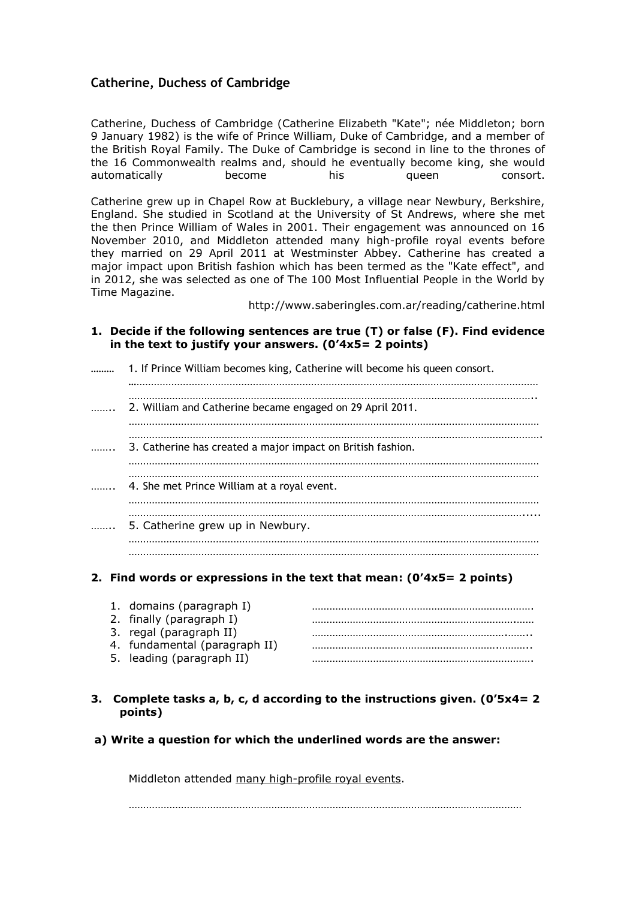# **Catherine, Duchess of Cambridge**

Catherine, Duchess of Cambridge (Catherine Elizabeth "Kate"; née Middleton; born 9 January 1982) is the wife of Prince William, Duke of Cambridge, and a member of the British Royal Family. The Duke of Cambridge is second in line to the thrones of the 16 Commonwealth realms and, should he eventually become king, she would automatically become his queen consort.

Catherine grew up in Chapel Row at Bucklebury, a village near Newbury, Berkshire, England. She studied in Scotland at the University of St Andrews, where she met the then Prince William of Wales in 2001. Their engagement was announced on 16 November 2010, and Middleton attended many high-profile royal events before they married on 29 April 2011 at Westminster Abbey. Catherine has created a major impact upon British fashion which has been termed as the "Kate effect", and in 2012, she was selected as one of The 100 Most Influential People in the World by Time Magazine.

http://www.saberingles.com.ar/reading/catherine.html

**1. Decide if the following sentences are true (T) or false (F). Find evidence in the text to justify your answers. (0'4x5= 2 points)**

| 1. If Prince William becomes king, Catherine will become his queen consort. |
|-----------------------------------------------------------------------------|
| 2. William and Catherine became engaged on 29 April 2011.                   |
| 3. Catherine has created a major impact on British fashion.                 |
| 4. She met Prince William at a royal event.                                 |
| 5. Catherine grew up in Newbury.                                            |
|                                                                             |

## **2. Find words or expressions in the text that mean: (0'4x5= 2 points)**

| 1. domains (paragraph I)      |  |
|-------------------------------|--|
| 2. finally (paragraph I)      |  |
| 3. regal (paragraph II)       |  |
| 4. fundamental (paragraph II) |  |
| 5. leading (paragraph II)     |  |

### **3. Complete tasks a, b, c, d according to the instructions given. (0'5x4= 2 points)**

**a) Write a question for which the underlined words are the answer:** 

Middleton attended many high-profile royal events.

. The contract of the contract of the contract of the contract of the contract of the contract of the contract of the contract of the contract of the contract of the contract of the contract of the contract of the contrac